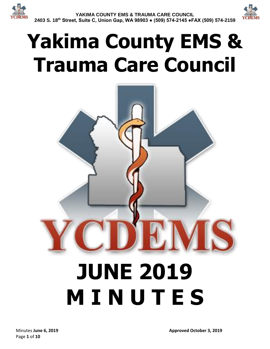

# **Yakima County EMS & Trauma Care Council**

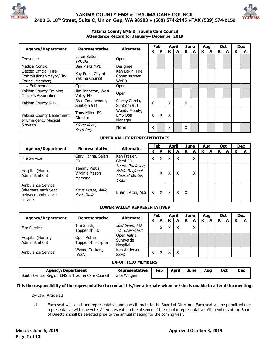



#### **Yakima County EMS & Trauma Care Council Attendance Record for January– December 2019**

|                                                                      |                                     |                                                 |   | Feb |   | April |   | June | Aug | <b>Oct</b> |    | <b>Dec</b> |
|----------------------------------------------------------------------|-------------------------------------|-------------------------------------------------|---|-----|---|-------|---|------|-----|------------|----|------------|
| <b>Agency/Department</b>                                             | Representative                      | <b>Alternate</b>                                | R |     | R |       | R | A    | R   | R          | R. | A          |
| Consumer                                                             | Loren Belton,<br>YVCOG.             | Open                                            |   |     |   |       |   |      |     |            |    |            |
| <b>Medical Control</b>                                               | Ben Maltz MPD                       | Designee                                        |   |     |   |       |   |      |     |            |    |            |
| Elected Official (Fire<br>Commissioner/Mayor/City<br>Council Member) | Kay Funk, City of<br>Yakima Council | Ken Eakin, Fire<br>Commissioner,<br><b>WVFD</b> |   |     |   |       |   |      |     |            |    |            |
| Law Enforcement                                                      | Open                                | Open                                            |   |     |   |       |   |      |     |            |    |            |
| Yakima County Training<br><b>Officer's Association</b>               | Jim Johnston, West<br>Valley FD     | Open                                            |   |     |   |       |   |      |     |            |    |            |
| Yakima County 9-1-1                                                  | Brad Coughenour,<br>SunCom 911      | Stacey Garcia,<br>SunCom 911                    | X |     | x |       | X |      |     |            |    |            |
| Yakima County Department<br>of Emergency Medical                     | Tony Miller, ES<br>Director         | Wendy Moudy,<br><b>EMS Ops</b><br>Manager       | Χ | X   | Χ |       |   |      |     |            |    |            |
| Services                                                             | Diane Koch,<br>Secretarv            | None                                            | Χ |     | Χ |       | Χ |      |     |            |    |            |

#### **UPPER VALLEY REPRESENTATIVES**

|                                                                            |                                             | Feb<br><b>Alternate</b>                                         |   |              | April |   | June | Aua |   | Oct |   | <b>Dec</b> |   |
|----------------------------------------------------------------------------|---------------------------------------------|-----------------------------------------------------------------|---|--------------|-------|---|------|-----|---|-----|---|------------|---|
| <b>Agency/Department</b>                                                   | <b>Representative</b>                       |                                                                 | R | A            | R     | A | R    | A   | R | А   | R | R          | А |
| <b>Fire Service</b>                                                        | Gary Hanna, Selah<br>FD                     | Ken Frazier,<br>Gleed FD                                        | Χ | x            | X     | X |      | χ   |   |     |   |            |   |
| Hospital (Nursing<br>Administration)                                       | Tammy Pettis,<br>Virginia Mason<br>Memorial | Laurie Robinson,<br>Astria Regional<br>Medical Center,<br>Chair |   | x            | x     | X |      | χ   |   |     |   |            |   |
| Ambulance Service<br>(alternate each year<br>between ambulance<br>services | Dave Lynde, AMR,<br>Past-Chair              | Brian Ireton, ALS                                               | x | $\mathsf{x}$ | X     | X | X    |     |   |     |   |            |   |

#### **LOWER VALLEY REPRESENTATIVES**

|                                      | Representative<br><b>Alternate</b> |                                      | Feb |              | <b>April</b> |   | June |   | Aua |   | Oct |  | <b>Dec</b> |  |
|--------------------------------------|------------------------------------|--------------------------------------|-----|--------------|--------------|---|------|---|-----|---|-----|--|------------|--|
| <b>Agency/Department</b>             |                                    |                                      | R.  |              | R            | A | R    | A | R   | A | R   |  | R          |  |
| <b>Fire Service</b>                  | Tim Smith,<br>Toppenish FD         | Joel Byam, FD<br>#5, Chair-Elect     |     | $\checkmark$ | $\checkmark$ | v |      | Χ |     |   |     |  |            |  |
| Hospital (Nursing<br>Administration) | Open Astria<br>Toppenish Hospital  | Open Astria<br>Sunnyside<br>Hospital |     |              |              |   |      |   |     |   |     |  |            |  |
| Ambulance Service                    | Wayne Guckert,<br>WSA              | Ken Anderson,<br><b>SSFD</b>         | Χ   |              | $\checkmark$ | Χ |      |   |     |   |     |  |            |  |

#### **EX-OFFICIO MEMBERS**

| Agency/Department                                 | Representative    | Feb | April | June | Aua | $\Omega$ -+<br>vu. | Dec |
|---------------------------------------------------|-------------------|-----|-------|------|-----|--------------------|-----|
| Central Region EMS & Trauma Care Council<br>South | · Wiltaen<br>Zita |     |       |      |     |                    |     |

#### **It is the responsibility of the representative to contact his/her alternate when he/she is unable to attend the meeting.**

By-Law, Article III

1.1 Each seat will select one representative and one alternate to the Board of Directors. Each seat will be permitted one representative with one vote. Alternates vote in the absence of the regular representative. All members of the Board of Directors shall be selected prior to the annual meeting for the coming year.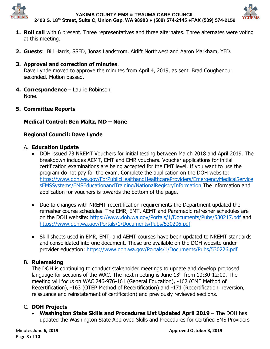



- **1. Roll call** with 6 present. Three representatives and three alternates. Three alternates were voting at this meeting.
- **2. Guests**: Bill Harris, SSFD, Jonas Landstrom, Airlift Northwest and Aaron Markham, YFD.

# **3. Approval and correction of minutes**.

Dave Lynde moved to approve the minutes from April 4, 2019, as sent. Brad Coughenour seconded. Motion passed.

- **4. Correspondence** Laurie Robinson None.
- **5. Committee Reports**

# **Medical Control: Ben Maltz, MD – None**

# **Regional Council: Dave Lynde**

# A. **Education Update**

- DOH issued 73 NREMT Vouchers for initial testing between March 2018 and April 2019. The breakdown includes AEMT, EMT and EMR vouchers. Voucher applications for initial certification examinations are being accepted for the EMT level. If you want to use the program do not pay for the exam. Complete the application on the DOH website: [https://www.doh.wa.gov/ForPublicHealthandHealthcareProviders/EmergencyMedicalService](https://www.doh.wa.gov/ForPublicHealthandHealthcareProviders/EmergencyMedicalServicesEMSSystems/EMSEducationandTraining/NationalRegistryInformation) [sEMSSystems/EMSEducationandTraining/NationalRegistryInformation](https://www.doh.wa.gov/ForPublicHealthandHealthcareProviders/EmergencyMedicalServicesEMSSystems/EMSEducationandTraining/NationalRegistryInformation) The information and application for vouchers is towards the bottom of the page.
- Due to changes with NREMT recertification requirements the Department updated the refresher course schedules. The EMR, EMT, AEMT and Paramedic refresher schedules are on the DOH website: <https://www.doh.wa.gov/Portals/1/Documents/Pubs/530217.pdf> and <https://www.doh.wa.gov/Portals/1/Documents/Pubs/530206.pdf>
- Skill sheets used in EMR, EMT, and AEMT courses have been updated to NREMT standards and consolidated into one document. These are available on the DOH website under provider education:<https://www.doh.wa.gov/Portals/1/Documents/Pubs/530226.pdf>

# B. **Rulemaking**

The DOH is continuing to conduct stakeholder meetings to update and develop proposed language for sections of the WAC. The next meeting is June 13<sup>th</sup> from 10:30-12:00. The meeting will focus on WAC 246-976-161 (General Education), -162 (CME Method of Recertification), -163 (OTEP Method of Recertification) and -171 (Recertification, reversion, reissuance and reinstatement of certification) and previously reviewed sections.

# C. **DOH Projects**

 **Washington State Skills and Procedures List Updated April 2019** – The DOH has updated the Washington State Approved Skills and Procedures for Certified EMS Providers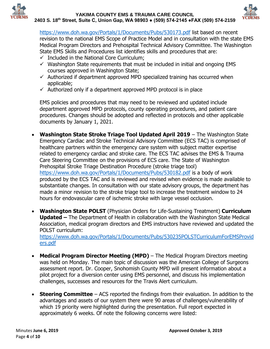



<https://www.doh.wa.gov/Portals/1/Documents/Pubs/530173.pdf> list based on recent revision to the national EMS Scope of Practice Model and in consultation with the state EMS Medical Program Directors and Prehospital Technical Advisory Committee. The Washington State EMS Skills and Procedures list identifies skills and procedures that are:

- $\checkmark$  Included in the National Core Curriculum;
- $\checkmark$  Washington State requirements that must be included in initial and ongoing EMS courses approved in Washington State;
- $\checkmark$  Authorized if department approved MPD specialized training has occurred when applicable;
- $\checkmark$  Authorized only if a department approved MPD protocol is in place

EMS policies and procedures that may need to be reviewed and updated include department approved MPD protocols, county operating procedures, and patient care procedures. Changes should be adopted and reflected in protocols and other applicable documents by January 1, 2021.

- **Washington State Stroke Triage Tool Updated April 2019** The Washington State Emergency Cardiac and Stroke Technical Advisory Committee (ECS TAC) is comprised of healthcare partners within the emergency care system with subject matter expertise related to emergency cardiac and stroke care. The ECS TAC advises the EMS & Trauma Care Steering Committee on the provisions of ECS care. The State of Washington Prehospital Stroke Triage Destination Procedure (stroke triage tool) <https://www.doh.wa.gov/Portals/1/Documents/Pubs/530182.pdf> is a body of work produced by the ECS TAC and is reviewed and revised when evidence is made available to substantiate changes. In consultation with our state advisory groups, the department has made a minor revision to the stroke triage tool to increase the treatment window to 24 hours for endovascular care of ischemic stroke with large vessel occlusion.
- **Washington State POLST** (Physician Orders for Life-Sustaining Treatment) **Curriculum Updated –** The Department of Health in collaboration with the Washington State Medical Association, medical program directors and EMS instructors have reviewed and updated the POLST curriculum: [https://www.doh.wa.gov/Portals/1/Documents/Pubs/530235POLSTCurriculumForEMSProvid](https://www.doh.wa.gov/Portals/1/Documents/Pubs/530235POLSTCurriculumForEMSProviders.pdf)

[ers.pdf](https://www.doh.wa.gov/Portals/1/Documents/Pubs/530235POLSTCurriculumForEMSProviders.pdf)

- **Medical Program Director Meeting (MPD)**  The Medical Program Directors meeting was held on Monday. The main topic of discussion was the American College of Surgeons assessment report. Dr. Cooper, Snohomish County MPD will present information about a pilot project for a diversion center using EMS personnel, and discuss his implementation challenges, successes and resources for the Travis Alert curriculum.
- **Steering Committee** ACS reported the findings from their evaluation. In addition to the advantages and assets of our system there were 90 areas of challenges/vulnerability of which 19 priority were highlighted during the presentation. Full report expected in approximately 6 weeks. Of note the following concerns were listed: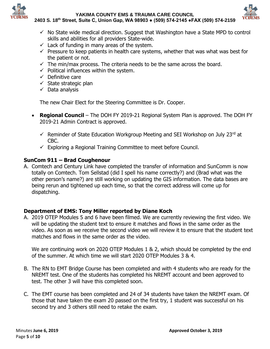

#### **YAKIMA COUNTY EMS & TRAUMA CARE COUNCIL**



**2403 S. 18th Street, Suite C, Union Gap, WA 98903 ● (509) 574-2145 ●FAX (509) 574-2159**

- $\checkmark$  No State wide medical direction. Suggest that Washington have a State MPD to control skills and abilities for all providers State-wide.
- $\checkmark$  Lack of funding in many areas of the system.
- $\checkmark$  Pressure to keep patients in health care systems, whether that was what was best for the patient or not.
- $\checkmark$  The min/max process. The criteria needs to be the same across the board.
- $\checkmark$  Political influences within the system.
- $\checkmark$  Definitive care
- $\checkmark$  State strategic plan
- $\checkmark$  Data analysis

The new Chair Elect for the Steering Committee is Dr. Cooper.

- **Regional Council** The DOH FY 2019-21 Regional System Plan is approved. The DOH FY 2019-21 Admin Contract is approved.
	- Exteminder of State Education Workgroup Meeting and SEI Workshop on July 23rd at CBC.
	- $\checkmark$  Exploring a Regional Training Committee to meet before Council.

# **SunCom 911 – Brad Coughenour**

A. Comtech and Century Link have completed the transfer of information and SunComm is now totally on Comtech. Tom Sellstad (did I spell his name correctly?) and (Brad what was the other person's name?) are still working on updating the GIS information. The data bases are being rerun and tightened up each time, so that the correct address will come up for dispatching.

# **Department of EMS: Tony Miller reported by Diane Koch**

A. 2019 OTEP Modules 5 and 6 have been filmed. We are currently reviewing the first video. We will be updating the student text to ensure it matches and flows in the same order as the video. As soon as we receive the second video we will review it to ensure that the student text matches and flows in the same order as the video.

We are continuing work on 2020 OTEP Modules 1 & 2, which should be completed by the end of the summer. At which time we will start 2020 OTEP Modules 3 & 4.

- B. The RN to EMT Bridge Course has been completed and with 4 students who are ready for the NREMT test. One of the students has completed his NREMT account and been approved to test. The other 3 will have this completed soon.
- C. The EMT course has been completed and 24 of 34 students have taken the NREMT exam. Of those that have taken the exam 20 passed on the first try, 1 student was successful on his second try and 3 others still need to retake the exam.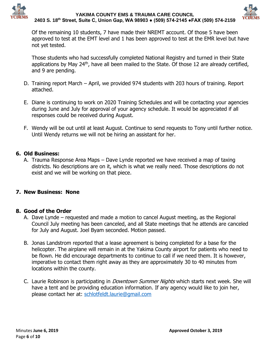



Of the remaining 10 students, 7 have made their NREMT account. Of those 5 have been approved to test at the EMT level and 1 has been approved to test at the EMR level but have not yet tested.

Those students who had successfully completed National Registry and turned in their State applications by May 24<sup>th</sup>, have all been mailed to the State. Of those 12 are already certified, and 9 are pending.

- D. Training report March April, we provided 974 students with 203 hours of training. Report attached.
- E. Diane is continuing to work on 2020 Training Schedules and will be contacting your agencies during June and July for approval of your agency schedule. It would be appreciated if all responses could be received during August.
- F. Wendy will be out until at least August. Continue to send requests to Tony until further notice. Until Wendy returns we will not be hiring an assistant for her.

# **6. Old Business:**

A. Trauma Response Area Maps – Dave Lynde reported we have received a map of taxing districts. No descriptions are on it, which is what we really need. Those descriptions do not exist and we will be working on that piece.

# **7. New Business: None**

# **8. Good of the Order**

- A. Dave Lynde requested and made a motion to cancel August meeting, as the Regional Council July meeting has been canceled, and all State meetings that he attends are canceled for July and August. Joel Byam seconded. Motion passed.
- B. Jonas Landstrom reported that a lease agreement is being completed for a base for the helicopter. The airplane will remain in at the Yakima County airport for patients who need to be flown. He did encourage departments to continue to call if we need them. It is however, imperative to contact them right away as they are approximately 30 to 40 minutes from locations within the county.
- C. Laurie Robinson is participating in *Downtown Summer Nights* which starts next week. She will have a tent and be providing education information. If any agency would like to join her, please contact her at: [schlotfeldt.laurie@gmail.com](mailto:schlotfeldt.laurie@gmail.com)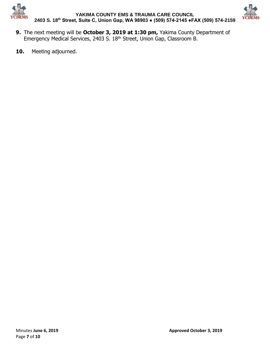



- **9.** The next meeting will be **October 3, 2019 at 1:30 pm,** Yakima County Department of Emergency Medical Services, 2403 S. 18th Street, Union Gap, Classroom B.
- **10.** Meeting adjourned.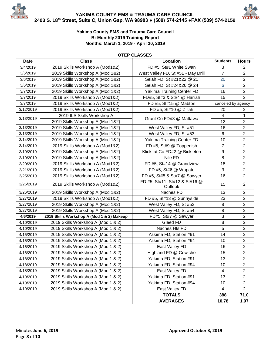



#### **Yakima County EMS and Trauma Care Council Bi-Monthly 2019 Training Report Months: March 1, 2019 - April 30, 2019**

#### **OTEP CLASSES**

| <b>Date</b> | <b>Class</b>                              | Location                                 | <b>Students</b>         | <b>Hours</b>   |
|-------------|-------------------------------------------|------------------------------------------|-------------------------|----------------|
| 3/4/2019    | 2019 Skills Workshop A (Mod1&2)           | FD #5, St#1 White Swan                   | 3                       | $\overline{2}$ |
| 3/5/2019    | 2019 Skills Workshop A (Mod 1&2)          | West Valley FD, St #51 - Day Drill       | $\overline{7}$          | $\overline{2}$ |
| 3/6/2019    | 2019 Skills Workshop A (Mod 1&2)          | Selah FD, St #21&22 @ 21                 | 20                      | $\overline{2}$ |
| 3/6/2019    | 2019 Skills Workshop A (Mod 1&2)          | Selah FD, St #24&26 @ 24                 | 6                       | $\overline{2}$ |
| 3/7/2019    | 2019 Skills Workshop A (Mod 1&2)          | Yakima Training Center FD                | 16                      | $\overline{2}$ |
| 3/7/2019    | 2019 Skills Workshop A (Mod1&2)           | FD#5, St#3 & St#4 @ Harrah               | 15                      | $\overline{2}$ |
| 3/7/2019    | 2019 Skills Workshop A (Mod1&2)           | FD #5, St#15 @ Mabton                    | canceled by agency      |                |
| 3/12/2019   | 2019 Skills Workshop A (Mod1&2)           | FD #5, St#10 @ Zillah                    | 20                      | 2              |
| 3/13/2019   | 2019 ILS Skills Workshop A                | Grant Co FD#8 @ Mattawa                  | $\overline{\mathbf{4}}$ | 1              |
|             | 2019 Skills Workshop A (Mod 1&2)          |                                          | 12                      | $\overline{2}$ |
| 3/13/2019   | 2019 Skills Workshop A (Mod 1&2)          | West Valley FD, St #51                   | 16                      | $\overline{2}$ |
| 3/13/2019   | 2019 Skills Workshop A (Mod 1&2)          | West Valley FD, St #53                   | 6                       | $\overline{2}$ |
| 3/14/2019   | 2019 Skills Workshop A (Mod 1&2)          | Yakima Training Center FD                | 10                      | $\overline{2}$ |
| 3/14/2019   | 2019 Skills Workshop A (Mod1&2)           | FD #5, St#9 @ Toppenish                  | $\overline{7}$          | $\overline{2}$ |
| 3/19/2019   | 2019 Skills Workshop A (Mod 1&2)          | Klickitat Co FD#2 @ Bickleton            | 9                       | $\overline{2}$ |
| 3/19/2019   | 2019 Skills Workshop A (Mod 1&2)          | Nile FD                                  | 8                       | $\overline{2}$ |
| 3/20/2019   | 2019 Skills Workshop A (Mod1&2)           | FD #5, St#14 @ Grandview                 | 18                      | $\overline{2}$ |
| 3/21/2019   | 2019 Skills Workshop A (Mod1&2)           | FD #5, St#6 @ Wapato                     | 3                       | $\overline{2}$ |
| 3/25/2019   | 2019 Skills Workshop A (Mod1&2)           | FD #5, St#5 & St#7 @ Sawyer              | 16                      | $\overline{2}$ |
| 3/26/2019   | 2019 Skills Workshop A (Mod1&2)           | FD #5, St#11, St#12 & St#16 @<br>Outlook | 15                      | $\overline{2}$ |
| 3/26/2019   | 2019 Skills Workshop A (Mod 1&2)          | Naches FD                                | 13                      | $\overline{2}$ |
| 3/27/2019   | 2019 Skills Workshop A (Mod1&2)           | FD #5, St#13 @ Sunnyside                 | 23                      | $\overline{c}$ |
| 3/27/2019   | 2019 Skills Workshop A (Mod 1&2)          | West Valley FD, St #52                   | 8                       | $\overline{2}$ |
| 3/27/2019   | 2019 Skills Workshop A (Mod 1&2)          | West Valley FD, St #54                   | 8                       | $\overline{2}$ |
| 4/6/2019    | 2019 Skills Workshop A (Mod 1 & 2) Makeup | FD#5, St#7 @ Sawyer                      | 3                       | $\overline{2}$ |
| 4/10/2019   | 2019 Skills Workshop A (Mod 1 & 2)        | Gleed FD                                 | 8                       | $\overline{2}$ |
| 4/10/2019   | 2019 Skills Workshop A (Mod 1 & 2)        | Naches Hts FD                            | 5                       | $\overline{2}$ |
| 4/15/2019   | 2019 Skills Workshop A (Mod 1 & 2)        | Yakima FD, Station #91                   | 14                      | $\overline{2}$ |
| 4/15/2019   | 2019 Skills Workshop A (Mod 1 & 2)        | Yakima FD, Station #94                   | 10                      | $\overline{2}$ |
| 4/16/2019   | 2019 Skills Workshop A (Mod 1 & 2)        | East Valley FD                           | 16                      | $\overline{c}$ |
| 4/16/2019   | 2019 Skills Workshop A (Mod 1 & 2)        | Highland FD @ Cowiche                    | 15                      | $\overline{2}$ |
| 4/18/2019   | 2019 Skills Workshop A (Mod 1 & 2)        | Yakima FD, Station #91                   | 13                      | $\overline{c}$ |
| 4/18/2019   | 2019 Skills Workshop A (Mod 1 & 2)        | Yakima FD, Station #94                   | 10                      | 2              |
| 4/18/2019   | 2019 Skills Workshop A (Mod 1 & 2)        | East Valley FD                           | $\overline{4}$          | $\overline{c}$ |
| 4/19/2019   | 2019 Skills Workshop A (Mod 1 & 2)        | Yakima FD, Station #91                   | 13                      | $\overline{c}$ |
| 4/19/2019   | 2019 Skills Workshop A (Mod 1 & 2)        | Yakima FD, Station #94                   | 10                      | 2              |
| 4/19/2019   | 2019 Skills Workshop A (Mod 1 & 2)        | East Valley FD                           | 4                       | $\overline{2}$ |
|             |                                           | <b>TOTALS</b>                            | 388                     | 71.0           |
|             |                                           | <b>AVERAGES</b>                          | 10.78                   | 1.97           |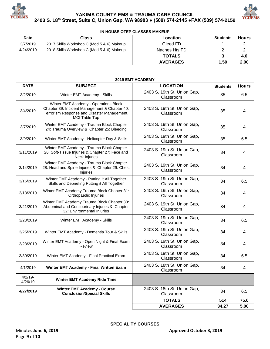



 $\mathsf{l}$ 

#### **IN HOUSE OTEP CLASSES MAKEUP**

| Date      | Class                                     | Location        | <b>Students</b> | <b>Hours</b> |
|-----------|-------------------------------------------|-----------------|-----------------|--------------|
| 3/7/2019  | 2017 Skills Workshop C (Mod 5 & 6) Makeup | Gleed FD        |                 |              |
| 4/24/2019 | 2018 Skills Workshop C (Mod 5 & 6) Makeup | Naches Hts FD   |                 |              |
|           |                                           | <b>TOTALS</b>   |                 | 4.0          |
|           |                                           | <b>AVERAGES</b> | 1.50            | 2.00         |

#### **2019 EMT ACADEMY**

| <b>DATE</b>           | <b>SUBJECT</b>                                                                                                                                                | <b>LOCATION</b>                          | <b>Students</b> | <b>Hours</b> |
|-----------------------|---------------------------------------------------------------------------------------------------------------------------------------------------------------|------------------------------------------|-----------------|--------------|
| 3/2/2019              | Winter EMT Academy - Skills                                                                                                                                   | 2403 S. 19th St, Union Gap,<br>Classroom | 35              | 6.5          |
| 3/4/2019              | Winter EMT Academy - Operations Block<br>Chapter 39: Incident Management & Chapter 40:<br>Terrorism Response and Disaster Management,<br><b>MCI Table Top</b> | 2403 S. 19th St, Union Gap,<br>Classroom | 35              | 4            |
| 3/7/2019              | Winter EMT Academy - Trauma Block Chapter<br>24: Trauma Overview & Chapter 25: Bleeding                                                                       | 2403 S. 19th St, Union Gap,<br>Classroom | 35              | 4            |
| 3/9/2019              | Winter EMT Academy - Helicopter Day & Skills                                                                                                                  | 2403 S. 19th St, Union Gap,<br>Classroom | 35              | 6.5          |
| 3/11/2019             | Winter EMT Academy - Trauma Block Chapter<br>26: Soft-Tissue Injuries & Chapter 27: Face and<br>Neck Injuries                                                 | 2403 S. 19th St, Union Gap,<br>Classroom | 34              | 4            |
| 3/14/2019             | Winter EMT Academy - Trauma Block Chapter<br>28: Head and Spine Injuries & Chapter 29: Chest<br><b>Injuries</b>                                               | 2403 S. 19th St, Union Gap,<br>Classroom | 34              | 4            |
| 3/16/2019             | Winter EMT Academy - Putting it All Together<br>Skills and Debriefing Putting it All Together                                                                 | 2403 S. 19th St, Union Gap,<br>Classroom | 34              | 6.5          |
| 3/18/2019             | Winter EMT Academy Trauma Block Chapter 31:<br>Orthopaedic Injuries                                                                                           | 2403 S. 19th St, Union Gap,<br>Classroom | 34              | 4            |
| 3/21/2019             | Winter EMT Academy Trauma Block Chapter 30:<br>Abdominal and Genitourinary Injuries & Chapter<br>32: Environmental Injuries                                   | 2403 S. 19th St, Union Gap,<br>Classroom | 34              | 4            |
| 3/23/2019             | Winter EMT Academy - Skills                                                                                                                                   | 2403 S. 19th St, Union Gap,<br>Classroom | 34              | 6.5          |
| 3/25/2019             | Winter EMT Academy - Dementia Tour & Skills                                                                                                                   | 2403 S. 19th St, Union Gap,<br>Classroom | 34              | 4            |
| 3/28/2019             | Winter EMT Academy - Open Night & Final Exam<br>Review                                                                                                        | 2403 S. 19th St, Union Gap,<br>Classroom | 34              | 4            |
| 3/30/2019             | Winter EMT Academy - Final Practical Exam                                                                                                                     | 2403 S. 19th St, Union Gap,<br>Classroom | 34              | 6.5          |
| 4/1/2019              | Winter EMT Academy - Final Written Exam                                                                                                                       | 2403 S. 18th St, Union Gap,<br>Classroom | 34              | 4            |
| $4/2/19$ -<br>4/26/19 | <b>Winter EMT Academy Ride Time</b>                                                                                                                           |                                          |                 |              |
| 4/27/2019             | <b>Winter EMT Academy - Course</b><br><b>Conclusion/Special Skills</b>                                                                                        | 2403 S. 18th St, Union Gap,<br>Classroom | 34              | 6.5          |
|                       |                                                                                                                                                               | <b>TOTALS</b>                            | 514             | 75.0         |
|                       |                                                                                                                                                               | <b>AVERAGES</b>                          | 34.27           | 5.00         |